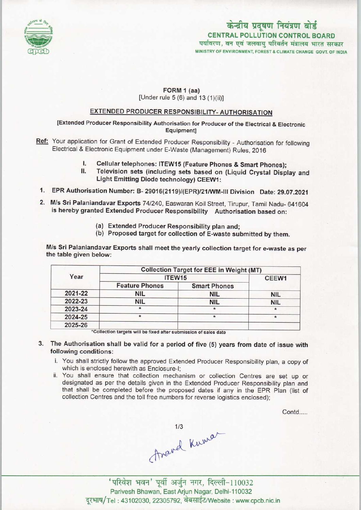

# केन्द्रीय प्रदूषण नियंत्रण बोर्ड CENTRAL POLLUTION CONTROL BOARD पर्यावरण, वन एवं जलवायु परिवर्तन मंत्रालय भारत सरकार

MINISTRY OF ENVIRONMENT, FOREST S CLIMATE CHANGE GOVT. OF INDIA

## FORM 1 (aa)

[Under rule 5 (6) and 13 (1)(ii)]

### EXTENDED PRODUCER RESPONSIBILITY-AUTHORISATION

[Extended Producer Responsibility Authorisation for Producer of the Electrical & Electronic Equipment]

Ref: Your application for Grant of Extended Producer Responsibility - Authorisation for following Electrical & Electronic Equipment under E-Waste (Management) Rules, 2016 Electronic Equipment under E-Waste (Management) Rules, 2016<br>
I. Cellular telephones: ITEW15 (Feature Phones & Smart Phones);<br>
I. Television sets (including sets based on (Liquid Cructal Diar

- 
- I. Cellular telephones: ITEW15 (Feature Phones & Smart Phones);<br>II. Television sets (including sets based on (Liquid Crystal Display and Television sets (including sets based on (Liquid Crystal Display and Light Emitting Diode technology) CEEW1:
- 1.EPR Authorisation Number: B- 29016(2119)/(EPR)/21/WM-lll Division Date: 29.07.2021
- 2.M/s Sri Paianiandavar Exports 74/240, Easwaran Koil Street, Tirupur, Tamil Nadu- <sup>641604</sup> is hereby granted Extended Producer Responsibility Authorisation based on:
	- (a)Extended Producer Responsibility plan and;
	- (b) Proposed target for collection of E-waste submitted by them.

M/s Sri Paianiandavar Exports shall meet the yearly collection target for e-waste as per the table given below:

| Year    | <b>Collection Target for EEE in Weight (MT)</b> |                     |                   |
|---------|-------------------------------------------------|---------------------|-------------------|
|         | ITEW15                                          |                     | CEEW <sub>1</sub> |
|         | <b>Feature Phones</b>                           | <b>Smart Phones</b> |                   |
| 2021-22 | <b>NIL</b>                                      | <b>NIL</b>          | <b>NIL</b>        |
| 2022-23 | <b>NIL</b>                                      | <b>NIL</b>          | <b>NIL</b>        |
| 2023-24 | $\star$                                         | $\star$             |                   |
| 2024-25 | $\star$                                         |                     | $\star$           |
| 2025-26 |                                                 |                     |                   |

\*Collection targets will be fixed after submission of sales date

- 3. The Authorisation shall be valid for a period of five (5) years from date of issue with following conditions:
	- i. You shall strictly follow the approved Extended Producer Responsibility plan, a copy of which is enclosed herewith as Enclosure-I;
	- ii. You shall ensure that collection mechanism or collection Centres are set up or designated as per the details given in the Extended Producer Responsibility plan and that shall be completed before the proposed dates if any in the EPR Plan (list of collection Centres and the toll free numbers for reverse logistics enclosed);

Contd.....

thand Kuman

' परिवेश भवन' पूर्वी अर्जुन नगर, दिल्ली-110032 Parivesh Bhawan, East Arjun Nagar, Delhi-110032<br>Tel : 43102030, 22305792, वेबसाईट/Website : www.cpcb.nic.in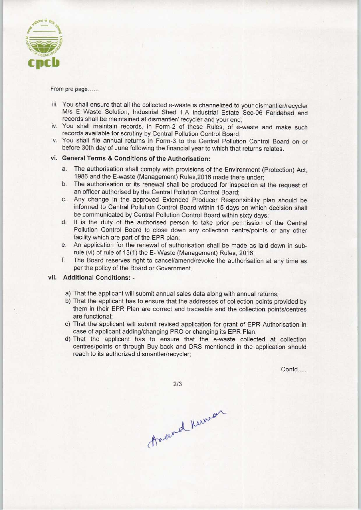

From pre page......

- iii. You shall ensure that all the collected e-waste is channelized to your dismantler/recycler M/s E Waste Solution, Industrial Shed 1.A Industrial Estate Sec-06 Faridabad and records shall be maintained at dismantler/ recycler and your end;
- iv. You shall maintain records, in Form-2 of these Rules, of e-waste and make such records available for scrutiny by Central Pollution Control Board;
- v. You shall file annual returns in Form-3 to the Central Pollution Control Board on or before 30th day of June following the financial year to which that returns relates.

#### vi. General Terms & Conditions of the Authorisation:

- The authorisation shall comply with provisions of the Environment (Protection) Act, 1986 and the E-waste (Management) Rules,2016 made there under;
- b.The authorisation or its renewal shall be produced for inspection at the request of an officer authorised by the Central Pollution Control Board;
- c.Any change in the approved Extended Producer Responsibility plan should be informed to Central Pollution Control Board within 15 days on which decision shall be communicated by Central Pollution Control Board within sixty days;
- d. It is the duty of the authorised person to take prior permission of the Central Pollution Control Board to close down any collection centre/points or any other facility which are part of the EPR plan;
- e.An application for the renewal of authorisation shall be made aslaid down in subrule (vi) of rule of 13(1) the E- Waste (Management) Rules, 2016;
- f. The Board reserves right to cancel/amend/revoke the authorisation at any time as per the policy of the Board or Government.

#### vii. Additional Conditions: -

- a)That the applicant will submit annual sales data along with annual returns;
- b)That the applicant has to ensure that the addresses of collection points provided by them in their EPR Plan are correct and traceable and the collection points/centres are functional;
- c) That the applicant will submit revised application for grant of EPR Authorisation in case of applicant adding/changing PRO or changing its EPR Plan;
- d)That the applicant has to ensure that the e-waste collected at collection centres/points or through Buy-back and DRS mentioned in the application should reach to its authorized dismantler/recycler;

Contd.....

 $2/3$ 

Anewel Knowar